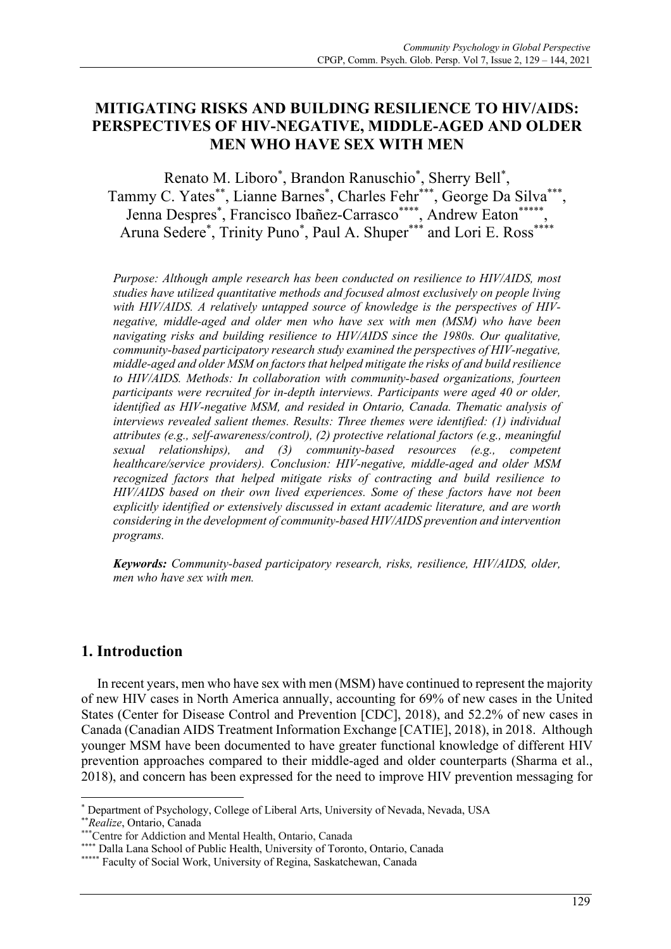# **MITIGATING RISKS AND BUILDING RESILIENCE TO HIV/AIDS: PERSPECTIVES OF HIV-NEGATIVE, MIDDLE-AGED AND OLDER MEN WHO HAVE SEX WITH MEN**

Renato M. Liboro\* , Brandon Ranuschio\* , Sherry Bell\* , Tammy C. Yates\*\*, Lianne Barnes\* , Charles Fehr\*\*\*, George Da Silva\*\*\*, Jenna Despres<sup>\*</sup>, Francisco Ibañez-Carrasco\*\*\*\*, Andrew Eaton\*\*\*\*\*, Aruna Sedere<sup>\*</sup>, Trinity Puno<sup>\*</sup>, Paul A. Shuper<sup>\*\*\*</sup> and Lori E. Ross<sup>\*\*\*\*</sup>

*Purpose: Although ample research has been conducted on resilience to HIV/AIDS, most studies have utilized quantitative methods and focused almost exclusively on people living with HIV/AIDS. A relatively untapped source of knowledge is the perspectives of HIVnegative, middle-aged and older men who have sex with men (MSM) who have been navigating risks and building resilience to HIV/AIDS since the 1980s. Our qualitative, community-based participatory research study examined the perspectives of HIV-negative, middle-aged and older MSM on factors that helped mitigate the risks of and build resilience to HIV/AIDS. Methods: In collaboration with community-based organizations, fourteen participants were recruited for in-depth interviews. Participants were aged 40 or older, identified as HIV-negative MSM, and resided in Ontario, Canada. Thematic analysis of interviews revealed salient themes. Results: Three themes were identified: (1) individual attributes (e.g., self-awareness/control), (2) protective relational factors (e.g., meaningful sexual relationships), and (3) community-based resources (e.g., competent healthcare/service providers). Conclusion: HIV-negative, middle-aged and older MSM recognized factors that helped mitigate risks of contracting and build resilience to HIV/AIDS based on their own lived experiences. Some of these factors have not been explicitly identified or extensively discussed in extant academic literature, and are worth considering in the development of community-based HIV/AIDS prevention and intervention programs.* 

*Keywords: Community-based participatory research, risks, resilience, HIV/AIDS, older, men who have sex with men.*

## **1. Introduction**

In recent years, men who have sex with men (MSM) have continued to represent the majority of new HIV cases in North America annually, accounting for 69% of new cases in the United States (Center for Disease Control and Prevention [CDC], 2018), and 52.2% of new cases in Canada (Canadian AIDS Treatment Information Exchange [CATIE], 2018), in 2018. Although younger MSM have been documented to have greater functional knowledge of different HIV prevention approaches compared to their middle-aged and older counterparts (Sharma et al., 2018), and concern has been expressed for the need to improve HIV prevention messaging for

\* Department of Psychology, College of Liberal Arts, University of Nevada, Nevada, USA

\*\**Realize*, Ontario, Canada

<sup>\*</sup> Dalla Lana School of Public Health, University of Toronto, Ontario, Canada

<sup>\*\*\*</sup>Centre for Addiction and Mental Health, Ontario, Canada

<sup>\*\*\*\*\*</sup> Faculty of Social Work, University of Regina, Saskatchewan, Canada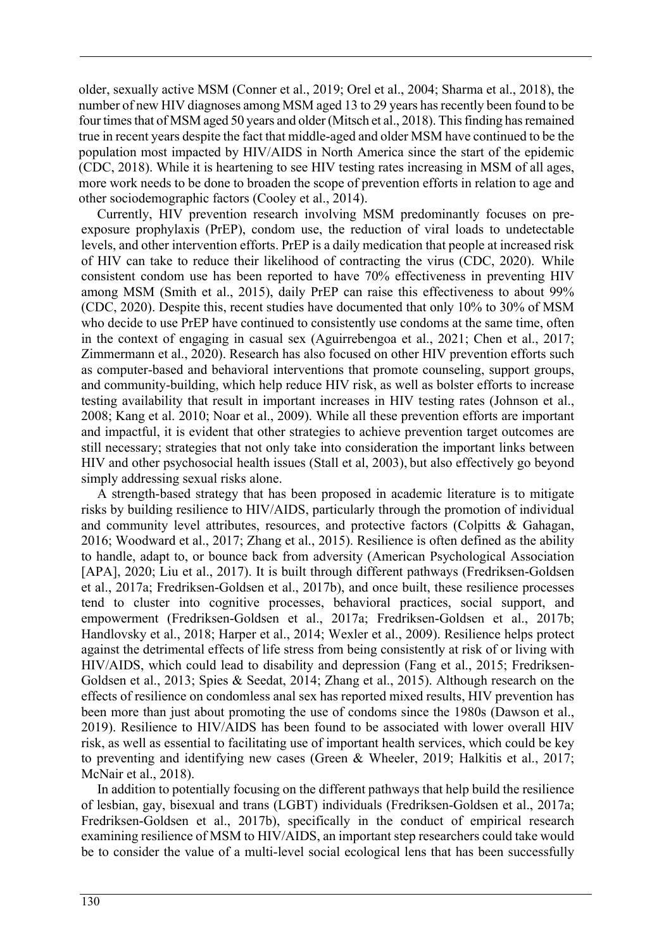older, sexually active MSM (Conner et al., 2019; Orel et al., 2004; Sharma et al., 2018), the number of new HIV diagnoses among MSM aged 13 to 29 years has recently been found to be four times that of MSM aged 50 years and older (Mitsch et al., 2018). This finding has remained true in recent years despite the fact that middle-aged and older MSM have continued to be the population most impacted by HIV/AIDS in North America since the start of the epidemic (CDC, 2018). While it is heartening to see HIV testing rates increasing in MSM of all ages, more work needs to be done to broaden the scope of prevention efforts in relation to age and other sociodemographic factors (Cooley et al., 2014).

Currently, HIV prevention research involving MSM predominantly focuses on preexposure prophylaxis (PrEP), condom use, the reduction of viral loads to undetectable levels, and other intervention efforts. PrEP is a daily medication that people at increased risk of HIV can take to reduce their likelihood of contracting the virus (CDC, 2020). While consistent condom use has been reported to have 70% effectiveness in preventing HIV among MSM (Smith et al., 2015), daily PrEP can raise this effectiveness to about 99% (CDC, 2020). Despite this, recent studies have documented that only 10% to 30% of MSM who decide to use PrEP have continued to consistently use condoms at the same time, often in the context of engaging in casual sex (Aguirrebengoa et al., 2021; Chen et al., 2017; Zimmermann et al., 2020). Research has also focused on other HIV prevention efforts such as computer-based and behavioral interventions that promote counseling, support groups, and community-building, which help reduce HIV risk, as well as bolster efforts to increase testing availability that result in important increases in HIV testing rates (Johnson et al., 2008; Kang et al. 2010; Noar et al., 2009). While all these prevention efforts are important and impactful, it is evident that other strategies to achieve prevention target outcomes are still necessary; strategies that not only take into consideration the important links between HIV and other psychosocial health issues (Stall et al, 2003), but also effectively go beyond simply addressing sexual risks alone.

A strength-based strategy that has been proposed in academic literature is to mitigate risks by building resilience to HIV/AIDS, particularly through the promotion of individual and community level attributes, resources, and protective factors (Colpitts & Gahagan, 2016; Woodward et al., 2017; Zhang et al., 2015). Resilience is often defined as the ability to handle, adapt to, or bounce back from adversity (American Psychological Association [APA], 2020; Liu et al., 2017). It is built through different pathways (Fredriksen-Goldsen et al., 2017a; Fredriksen-Goldsen et al., 2017b), and once built, these resilience processes tend to cluster into cognitive processes, behavioral practices, social support, and empowerment (Fredriksen-Goldsen et al., 2017a; Fredriksen-Goldsen et al., 2017b; Handlovsky et al., 2018; Harper et al., 2014; Wexler et al., 2009). Resilience helps protect against the detrimental effects of life stress from being consistently at risk of or living with HIV/AIDS, which could lead to disability and depression (Fang et al., 2015; Fredriksen-Goldsen et al., 2013; Spies & Seedat, 2014; Zhang et al., 2015). Although research on the effects of resilience on condomless anal sex has reported mixed results, HIV prevention has been more than just about promoting the use of condoms since the 1980s (Dawson et al., 2019). Resilience to HIV/AIDS has been found to be associated with lower overall HIV risk, as well as essential to facilitating use of important health services, which could be key to preventing and identifying new cases (Green & Wheeler, 2019; Halkitis et al., 2017; McNair et al., 2018).

In addition to potentially focusing on the different pathways that help build the resilience of lesbian, gay, bisexual and trans (LGBT) individuals (Fredriksen-Goldsen et al., 2017a; Fredriksen-Goldsen et al., 2017b), specifically in the conduct of empirical research examining resilience of MSM to HIV/AIDS, an important step researchers could take would be to consider the value of a multi-level social ecological lens that has been successfully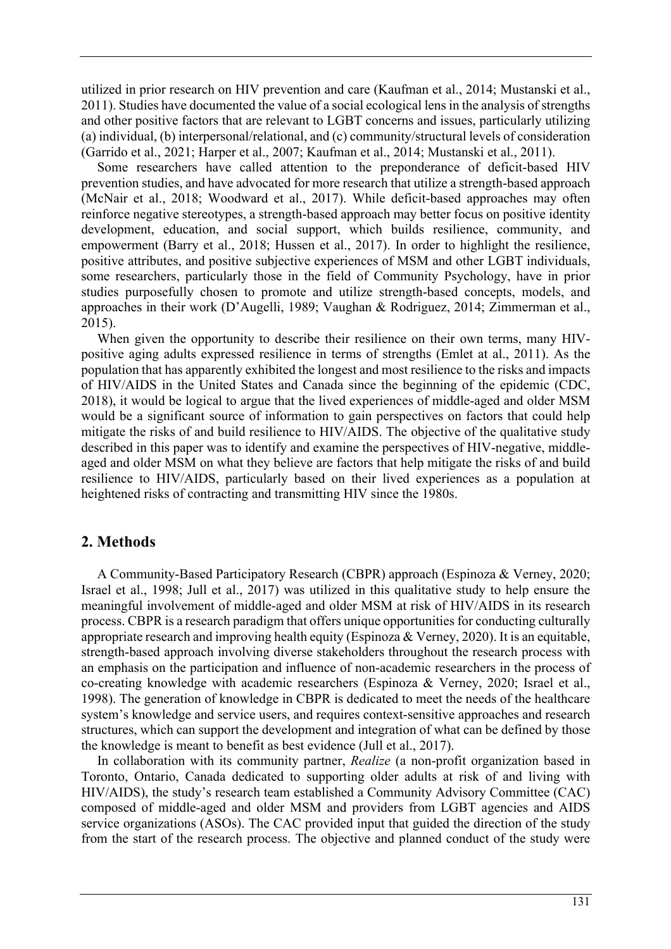utilized in prior research on HIV prevention and care (Kaufman et al., 2014; Mustanski et al., 2011). Studies have documented the value of a social ecological lens in the analysis of strengths and other positive factors that are relevant to LGBT concerns and issues, particularly utilizing (a) individual, (b) interpersonal/relational, and (c) community/structural levels of consideration (Garrido et al., 2021; Harper et al., 2007; Kaufman et al., 2014; Mustanski et al., 2011).

Some researchers have called attention to the preponderance of deficit-based HIV prevention studies, and have advocated for more research that utilize a strength-based approach (McNair et al., 2018; Woodward et al., 2017). While deficit-based approaches may often reinforce negative stereotypes, a strength-based approach may better focus on positive identity development, education, and social support, which builds resilience, community, and empowerment (Barry et al., 2018; Hussen et al., 2017). In order to highlight the resilience, positive attributes, and positive subjective experiences of MSM and other LGBT individuals, some researchers, particularly those in the field of Community Psychology, have in prior studies purposefully chosen to promote and utilize strength-based concepts, models, and approaches in their work (D'Augelli, 1989; Vaughan & Rodriguez, 2014; Zimmerman et al., 2015).

When given the opportunity to describe their resilience on their own terms, many HIVpositive aging adults expressed resilience in terms of strengths (Emlet at al., 2011). As the population that has apparently exhibited the longest and most resilience to the risks and impacts of HIV/AIDS in the United States and Canada since the beginning of the epidemic (CDC, 2018), it would be logical to argue that the lived experiences of middle-aged and older MSM would be a significant source of information to gain perspectives on factors that could help mitigate the risks of and build resilience to HIV/AIDS. The objective of the qualitative study described in this paper was to identify and examine the perspectives of HIV-negative, middleaged and older MSM on what they believe are factors that help mitigate the risks of and build resilience to HIV/AIDS, particularly based on their lived experiences as a population at heightened risks of contracting and transmitting HIV since the 1980s.

## **2. Methods**

A Community-Based Participatory Research (CBPR) approach (Espinoza & Verney, 2020; Israel et al., 1998; Jull et al., 2017) was utilized in this qualitative study to help ensure the meaningful involvement of middle-aged and older MSM at risk of HIV/AIDS in its research process. CBPR is a research paradigm that offers unique opportunities for conducting culturally appropriate research and improving health equity (Espinoza & Verney, 2020). It is an equitable, strength-based approach involving diverse stakeholders throughout the research process with an emphasis on the participation and influence of non-academic researchers in the process of co-creating knowledge with academic researchers (Espinoza & Verney, 2020; Israel et al., 1998). The generation of knowledge in CBPR is dedicated to meet the needs of the healthcare system's knowledge and service users, and requires context-sensitive approaches and research structures, which can support the development and integration of what can be defined by those the knowledge is meant to benefit as best evidence (Jull et al., 2017).

In collaboration with its community partner, *Realize* (a non-profit organization based in Toronto, Ontario, Canada dedicated to supporting older adults at risk of and living with HIV/AIDS), the study's research team established a Community Advisory Committee (CAC) composed of middle-aged and older MSM and providers from LGBT agencies and AIDS service organizations (ASOs). The CAC provided input that guided the direction of the study from the start of the research process. The objective and planned conduct of the study were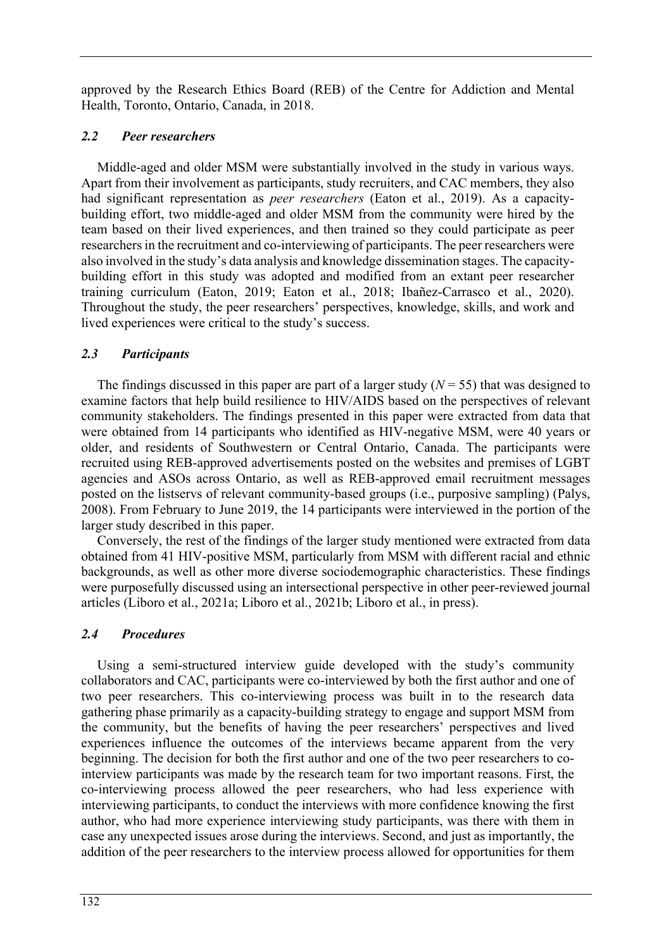approved by the Research Ethics Board (REB) of the Centre for Addiction and Mental Health, Toronto, Ontario, Canada, in 2018.

## *2.2 Peer researchers*

Middle-aged and older MSM were substantially involved in the study in various ways. Apart from their involvement as participants, study recruiters, and CAC members, they also had significant representation as *peer researchers* (Eaton et al., 2019). As a capacitybuilding effort, two middle-aged and older MSM from the community were hired by the team based on their lived experiences, and then trained so they could participate as peer researchers in the recruitment and co-interviewing of participants. The peer researchers were also involved in the study's data analysis and knowledge dissemination stages. The capacitybuilding effort in this study was adopted and modified from an extant peer researcher training curriculum (Eaton, 2019; Eaton et al., 2018; Ibañez-Carrasco et al., 2020). Throughout the study, the peer researchers' perspectives, knowledge, skills, and work and lived experiences were critical to the study's success.

## *2.3 Participants*

The findings discussed in this paper are part of a larger study  $(N = 55)$  that was designed to examine factors that help build resilience to HIV/AIDS based on the perspectives of relevant community stakeholders. The findings presented in this paper were extracted from data that were obtained from 14 participants who identified as HIV-negative MSM, were 40 years or older, and residents of Southwestern or Central Ontario, Canada. The participants were recruited using REB-approved advertisements posted on the websites and premises of LGBT agencies and ASOs across Ontario, as well as REB-approved email recruitment messages posted on the listservs of relevant community-based groups (i.e., purposive sampling) (Palys, 2008). From February to June 2019, the 14 participants were interviewed in the portion of the larger study described in this paper.

Conversely, the rest of the findings of the larger study mentioned were extracted from data obtained from 41 HIV-positive MSM, particularly from MSM with different racial and ethnic backgrounds, as well as other more diverse sociodemographic characteristics. These findings were purposefully discussed using an intersectional perspective in other peer-reviewed journal articles (Liboro et al., 2021a; Liboro et al., 2021b; Liboro et al., in press).

## *2.4 Procedures*

Using a semi-structured interview guide developed with the study's community collaborators and CAC, participants were co-interviewed by both the first author and one of two peer researchers. This co-interviewing process was built in to the research data gathering phase primarily as a capacity-building strategy to engage and support MSM from the community, but the benefits of having the peer researchers' perspectives and lived experiences influence the outcomes of the interviews became apparent from the very beginning. The decision for both the first author and one of the two peer researchers to cointerview participants was made by the research team for two important reasons. First, the co-interviewing process allowed the peer researchers, who had less experience with interviewing participants, to conduct the interviews with more confidence knowing the first author, who had more experience interviewing study participants, was there with them in case any unexpected issues arose during the interviews. Second, and just as importantly, the addition of the peer researchers to the interview process allowed for opportunities for them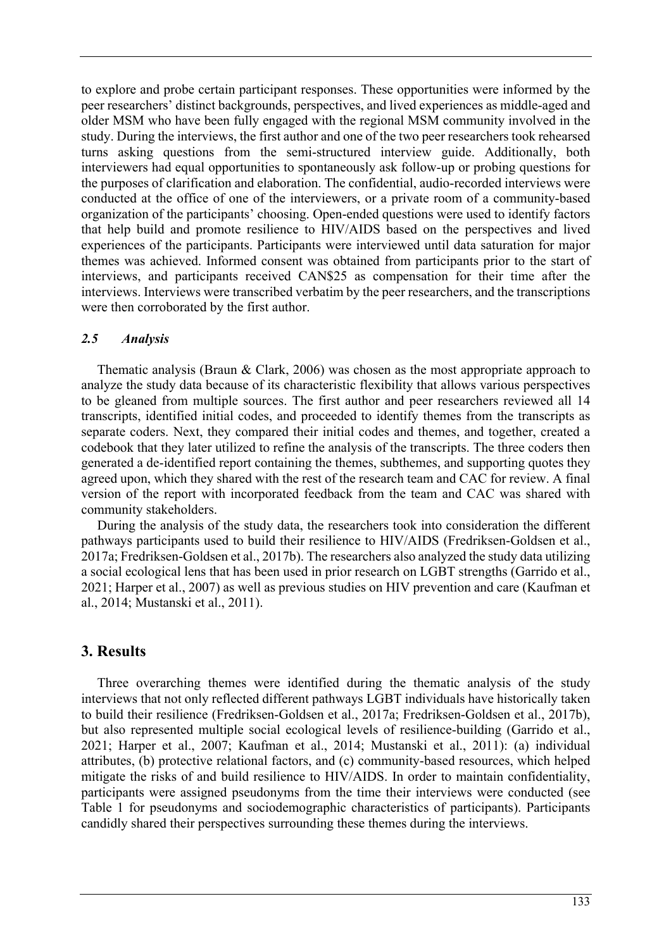to explore and probe certain participant responses. These opportunities were informed by the peer researchers' distinct backgrounds, perspectives, and lived experiences as middle-aged and older MSM who have been fully engaged with the regional MSM community involved in the study. During the interviews, the first author and one of the two peer researchers took rehearsed turns asking questions from the semi-structured interview guide. Additionally, both interviewers had equal opportunities to spontaneously ask follow-up or probing questions for the purposes of clarification and elaboration. The confidential, audio-recorded interviews were conducted at the office of one of the interviewers, or a private room of a community-based organization of the participants' choosing. Open-ended questions were used to identify factors that help build and promote resilience to HIV/AIDS based on the perspectives and lived experiences of the participants. Participants were interviewed until data saturation for major themes was achieved. Informed consent was obtained from participants prior to the start of interviews, and participants received CAN\$25 as compensation for their time after the interviews. Interviews were transcribed verbatim by the peer researchers, and the transcriptions were then corroborated by the first author.

## *2.5 Analysis*

Thematic analysis (Braun & Clark, 2006) was chosen as the most appropriate approach to analyze the study data because of its characteristic flexibility that allows various perspectives to be gleaned from multiple sources. The first author and peer researchers reviewed all 14 transcripts, identified initial codes, and proceeded to identify themes from the transcripts as separate coders. Next, they compared their initial codes and themes, and together, created a codebook that they later utilized to refine the analysis of the transcripts. The three coders then generated a de-identified report containing the themes, subthemes, and supporting quotes they agreed upon, which they shared with the rest of the research team and CAC for review. A final version of the report with incorporated feedback from the team and CAC was shared with community stakeholders.

During the analysis of the study data, the researchers took into consideration the different pathways participants used to build their resilience to HIV/AIDS (Fredriksen-Goldsen et al., 2017a; Fredriksen-Goldsen et al., 2017b). The researchers also analyzed the study data utilizing a social ecological lens that has been used in prior research on LGBT strengths (Garrido et al., 2021; Harper et al., 2007) as well as previous studies on HIV prevention and care (Kaufman et al., 2014; Mustanski et al., 2011).

# **3. Results**

Three overarching themes were identified during the thematic analysis of the study interviews that not only reflected different pathways LGBT individuals have historically taken to build their resilience (Fredriksen-Goldsen et al., 2017a; Fredriksen-Goldsen et al., 2017b), but also represented multiple social ecological levels of resilience-building (Garrido et al., 2021; Harper et al., 2007; Kaufman et al., 2014; Mustanski et al., 2011): (a) individual attributes, (b) protective relational factors, and (c) community-based resources, which helped mitigate the risks of and build resilience to HIV/AIDS. In order to maintain confidentiality, participants were assigned pseudonyms from the time their interviews were conducted (see Table 1 for pseudonyms and sociodemographic characteristics of participants). Participants candidly shared their perspectives surrounding these themes during the interviews.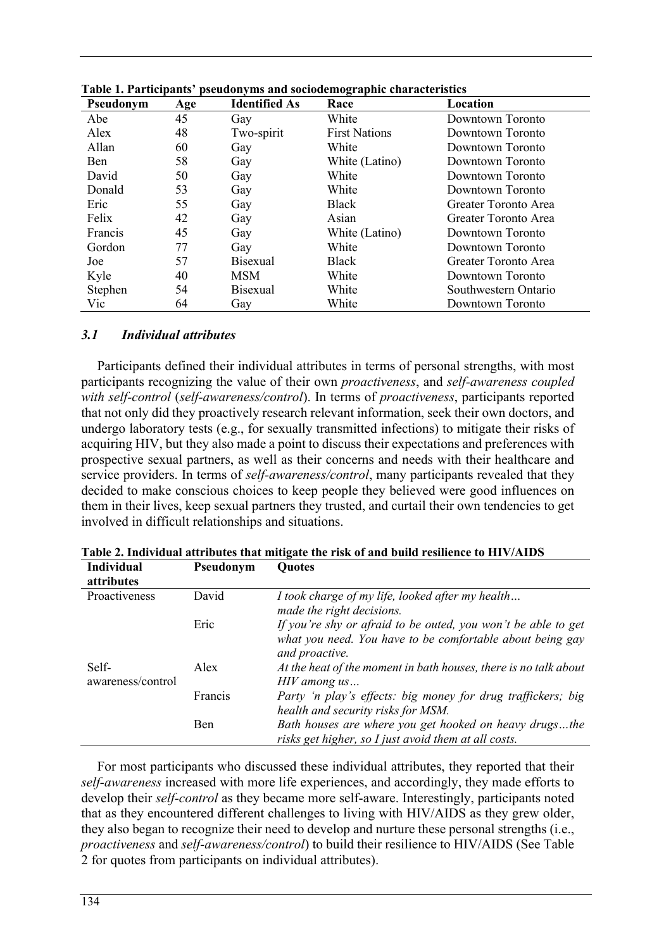| Pseudonym      | Age | <b>Identified As</b> | pseugonyms and sociouemograpme enaracteristics<br>Race | Location             |
|----------------|-----|----------------------|--------------------------------------------------------|----------------------|
| Abe            | 45  | Gav                  | White                                                  | Downtown Toronto     |
| Alex           | 48  | Two-spirit           | <b>First Nations</b>                                   | Downtown Toronto     |
| Allan          | 60  | Gay                  | White                                                  | Downtown Toronto     |
| Ben            | 58  | Gay                  | White (Latino)                                         | Downtown Toronto     |
| David          | 50  | Gay                  | White                                                  | Downtown Toronto     |
| Donald         | 53  | Gay                  | White                                                  | Downtown Toronto     |
| Eric           | 55  | Gay                  | Black                                                  | Greater Toronto Area |
| Felix          | 42  | Gay                  | Asian                                                  | Greater Toronto Area |
| <b>Francis</b> | 45  | Gay                  | White (Latino)                                         | Downtown Toronto     |
| Gordon         | 77  | Gay                  | White                                                  | Downtown Toronto     |
| Joe            | 57  | <b>Bisexual</b>      | Black                                                  | Greater Toronto Area |
| Kyle           | 40  | <b>MSM</b>           | White                                                  | Downtown Toronto     |
| Stephen        | 54  | <b>Bisexual</b>      | White                                                  | Southwestern Ontario |
| Vic            | 64  | Gay                  | White                                                  | Downtown Toronto     |

**Table 1. Participants' pseudonyms and sociodemographic characteristics**

#### *3.1 Individual attributes*

Participants defined their individual attributes in terms of personal strengths, with most participants recognizing the value of their own *proactiveness*, and *self-awareness coupled with self-control* (*self-awareness/control*). In terms of *proactiveness*, participants reported that not only did they proactively research relevant information, seek their own doctors, and undergo laboratory tests (e.g., for sexually transmitted infections) to mitigate their risks of acquiring HIV, but they also made a point to discuss their expectations and preferences with prospective sexual partners, as well as their concerns and needs with their healthcare and service providers. In terms of *self-awareness/control*, many participants revealed that they decided to make conscious choices to keep people they believed were good influences on them in their lives, keep sexual partners they trusted, and curtail their own tendencies to get involved in difficult relationships and situations.

| <b>Individual</b><br>attributes | Pseudonym | <b>Ouotes</b>                                                                                                                                |
|---------------------------------|-----------|----------------------------------------------------------------------------------------------------------------------------------------------|
| Proactiveness                   | David     | I took charge of my life, looked after my health<br>made the right decisions.                                                                |
|                                 | Eric      | If you're shy or afraid to be outed, you won't be able to get<br>what you need. You have to be comfortable about being gay<br>and proactive. |
| Self-<br>awareness/control      | Alex      | At the heat of the moment in bath houses, there is no talk about<br>$H\!I\!V$ among $us$                                                     |
|                                 | Francis   | Party 'n play's effects: big money for drug traffickers; big<br>health and security risks for MSM.                                           |
|                                 | Ben       | Bath houses are where you get hooked on heavy drugsthe<br>risks get higher, so I just avoid them at all costs.                               |

**Table 2. Individual attributes that mitigate the risk of and build resilience to HIV/AIDS**

For most participants who discussed these individual attributes, they reported that their *self-awareness* increased with more life experiences, and accordingly, they made efforts to develop their *self-control* as they became more self-aware. Interestingly, participants noted that as they encountered different challenges to living with HIV/AIDS as they grew older, they also began to recognize their need to develop and nurture these personal strengths (i.e., *proactiveness* and *self-awareness/control*) to build their resilience to HIV/AIDS (See Table 2 for quotes from participants on individual attributes).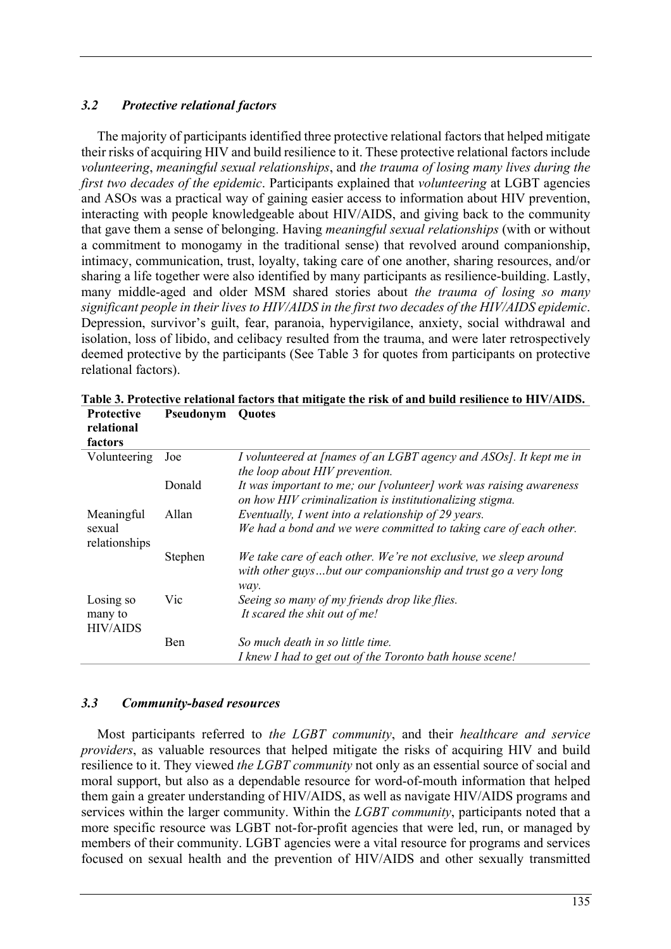## *3.2 Protective relational factors*

The majority of participants identified three protective relational factors that helped mitigate their risks of acquiring HIV and build resilience to it. These protective relational factors include *volunteering*, *meaningful sexual relationships*, and *the trauma of losing many lives during the first two decades of the epidemic*. Participants explained that *volunteering* at LGBT agencies and ASOs was a practical way of gaining easier access to information about HIV prevention, interacting with people knowledgeable about HIV/AIDS, and giving back to the community that gave them a sense of belonging. Having *meaningful sexual relationships* (with or without a commitment to monogamy in the traditional sense) that revolved around companionship, intimacy, communication, trust, loyalty, taking care of one another, sharing resources, and/or sharing a life together were also identified by many participants as resilience-building. Lastly, many middle-aged and older MSM shared stories about *the trauma of losing so many significant people in their lives to HIV/AIDS in the first two decades of the HIV/AIDS epidemic*. Depression, survivor's guilt, fear, paranoia, hypervigilance, anxiety, social withdrawal and isolation, loss of libido, and celibacy resulted from the trauma, and were later retrospectively deemed protective by the participants (See Table 3 for quotes from participants on protective relational factors).

| relational<br>factors                   |         |                                                                                                                                           |
|-----------------------------------------|---------|-------------------------------------------------------------------------------------------------------------------------------------------|
| Volunteering                            | Joe     | I volunteered at [names of an LGBT agency and ASOs]. It kept me in<br>the loop about HIV prevention.                                      |
|                                         | Donald  | It was important to me; our [volunteer] work was raising awareness<br>on how HIV criminalization is institutionalizing stigma.            |
| Meaningful<br>sexual<br>relationships   | Allan   | Eventually, I went into a relationship of 29 years.<br>We had a bond and we were committed to taking care of each other.                  |
|                                         | Stephen | We take care of each other. We're not exclusive, we sleep around<br>with other guysbut our companionship and trust go a very long<br>way. |
| Losing so<br>many to<br><b>HIV/AIDS</b> | Vic     | Seeing so many of my friends drop like flies.<br>It scared the shit out of me!                                                            |
|                                         | Ben     | So much death in so little time.<br>I knew I had to get out of the Toronto bath house scene!                                              |

**Table 3. Protective relational factors that mitigate the risk of and build resilience to HIV/AIDS. Protective Pseudonym Quotes**

## *3.3 Community-based resources*

Most participants referred to *the LGBT community*, and their *healthcare and service providers*, as valuable resources that helped mitigate the risks of acquiring HIV and build resilience to it. They viewed *the LGBT community* not only as an essential source of social and moral support, but also as a dependable resource for word-of-mouth information that helped them gain a greater understanding of HIV/AIDS, as well as navigate HIV/AIDS programs and services within the larger community. Within the *LGBT community*, participants noted that a more specific resource was LGBT not-for-profit agencies that were led, run, or managed by members of their community. LGBT agencies were a vital resource for programs and services focused on sexual health and the prevention of HIV/AIDS and other sexually transmitted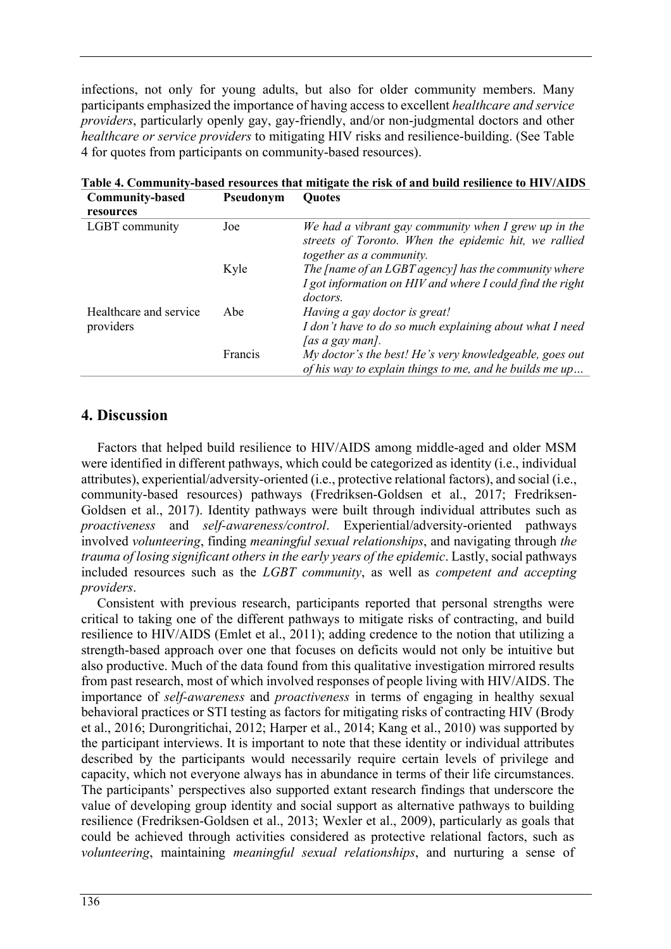infections, not only for young adults, but also for older community members. Many participants emphasized the importance of having access to excellent *healthcare and service providers*, particularly openly gay, gay-friendly, and/or non-judgmental doctors and other *healthcare or service providers* to mitigating HIV risks and resilience-building. (See Table 4 for quotes from participants on community-based resources).

| Community-based                     | Pseudonym | <b>Quotes</b>                                                                                                                             |  |
|-------------------------------------|-----------|-------------------------------------------------------------------------------------------------------------------------------------------|--|
| resources                           |           |                                                                                                                                           |  |
| LGBT community                      | Joe       | We had a vibrant gay community when I grew up in the<br>streets of Toronto. When the epidemic hit, we rallied<br>together as a community. |  |
|                                     | Kyle      | The [name of an LGBT agency] has the community where<br>I got information on HIV and where I could find the right<br><i>doctors.</i>      |  |
| Healthcare and service<br>providers | Abe       | Having a gay doctor is great!<br>I don't have to do so much explaining about what I need<br>[as a gay man].                               |  |
|                                     | Francis   | My doctor's the best! He's very knowledgeable, goes out<br>of his way to explain things to me, and he builds me up                        |  |

**Table 4. Community-based resources that mitigate the risk of and build resilience to HIV/AIDS Community-based Pseudonym Quotes**

# **4. Discussion**

Factors that helped build resilience to HIV/AIDS among middle-aged and older MSM were identified in different pathways, which could be categorized as identity (i.e., individual attributes), experiential/adversity-oriented (i.e., protective relational factors), and social (i.e., community-based resources) pathways (Fredriksen-Goldsen et al., 2017; Fredriksen-Goldsen et al., 2017). Identity pathways were built through individual attributes such as *proactiveness* and *self-awareness/control*. Experiential/adversity-oriented pathways involved *volunteering*, finding *meaningful sexual relationships*, and navigating through *the trauma of losing significant others in the early years of the epidemic*. Lastly, social pathways included resources such as the *LGBT community*, as well as *competent and accepting providers*.

Consistent with previous research, participants reported that personal strengths were critical to taking one of the different pathways to mitigate risks of contracting, and build resilience to HIV/AIDS (Emlet et al., 2011); adding credence to the notion that utilizing a strength-based approach over one that focuses on deficits would not only be intuitive but also productive. Much of the data found from this qualitative investigation mirrored results from past research, most of which involved responses of people living with HIV/AIDS. The importance of *self-awareness* and *proactiveness* in terms of engaging in healthy sexual behavioral practices or STI testing as factors for mitigating risks of contracting HIV (Brody et al., 2016; Durongritichai, 2012; Harper et al., 2014; Kang et al., 2010) was supported by the participant interviews. It is important to note that these identity or individual attributes described by the participants would necessarily require certain levels of privilege and capacity, which not everyone always has in abundance in terms of their life circumstances. The participants' perspectives also supported extant research findings that underscore the value of developing group identity and social support as alternative pathways to building resilience (Fredriksen-Goldsen et al., 2013; Wexler et al., 2009), particularly as goals that could be achieved through activities considered as protective relational factors, such as *volunteering*, maintaining *meaningful sexual relationships*, and nurturing a sense of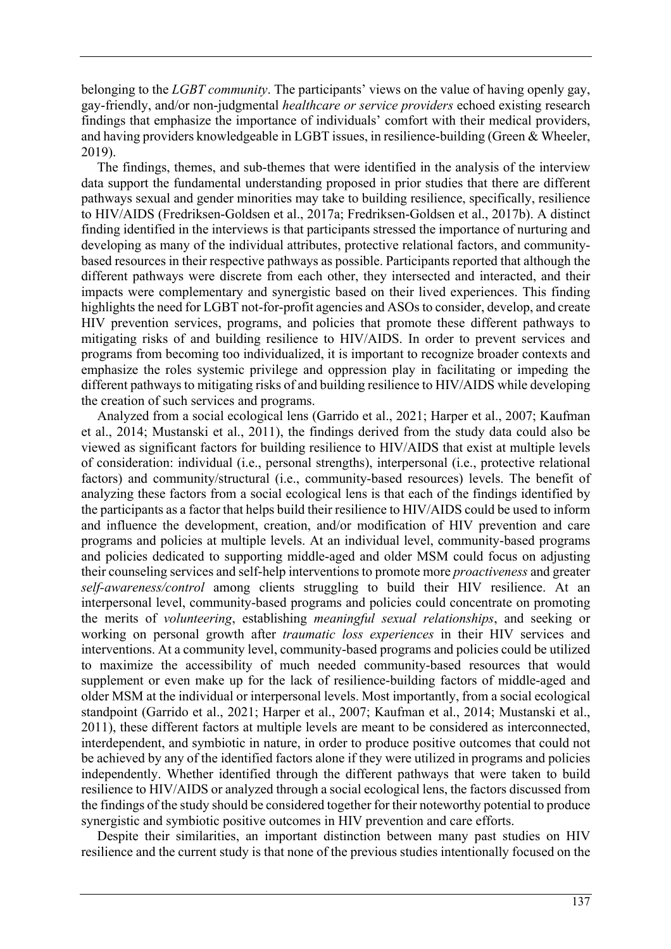belonging to the *LGBT community*. The participants' views on the value of having openly gay, gay-friendly, and/or non-judgmental *healthcare or service providers* echoed existing research findings that emphasize the importance of individuals' comfort with their medical providers, and having providers knowledgeable in LGBT issues, in resilience-building (Green & Wheeler, 2019).

The findings, themes, and sub-themes that were identified in the analysis of the interview data support the fundamental understanding proposed in prior studies that there are different pathways sexual and gender minorities may take to building resilience, specifically, resilience to HIV/AIDS (Fredriksen-Goldsen et al., 2017a; Fredriksen-Goldsen et al., 2017b). A distinct finding identified in the interviews is that participants stressed the importance of nurturing and developing as many of the individual attributes, protective relational factors, and communitybased resources in their respective pathways as possible. Participants reported that although the different pathways were discrete from each other, they intersected and interacted, and their impacts were complementary and synergistic based on their lived experiences. This finding highlights the need for LGBT not-for-profit agencies and ASOs to consider, develop, and create HIV prevention services, programs, and policies that promote these different pathways to mitigating risks of and building resilience to HIV/AIDS. In order to prevent services and programs from becoming too individualized, it is important to recognize broader contexts and emphasize the roles systemic privilege and oppression play in facilitating or impeding the different pathways to mitigating risks of and building resilience to HIV/AIDS while developing the creation of such services and programs.

Analyzed from a social ecological lens (Garrido et al., 2021; Harper et al., 2007; Kaufman et al., 2014; Mustanski et al., 2011), the findings derived from the study data could also be viewed as significant factors for building resilience to HIV/AIDS that exist at multiple levels of consideration: individual (i.e., personal strengths), interpersonal (i.e., protective relational factors) and community/structural (i.e., community-based resources) levels. The benefit of analyzing these factors from a social ecological lens is that each of the findings identified by the participants as a factor that helps build their resilience to HIV/AIDS could be used to inform and influence the development, creation, and/or modification of HIV prevention and care programs and policies at multiple levels. At an individual level, community-based programs and policies dedicated to supporting middle-aged and older MSM could focus on adjusting their counseling services and self-help interventions to promote more *proactiveness* and greater *self-awareness/control* among clients struggling to build their HIV resilience. At an interpersonal level, community-based programs and policies could concentrate on promoting the merits of *volunteering*, establishing *meaningful sexual relationships*, and seeking or working on personal growth after *traumatic loss experiences* in their HIV services and interventions. At a community level, community-based programs and policies could be utilized to maximize the accessibility of much needed community-based resources that would supplement or even make up for the lack of resilience-building factors of middle-aged and older MSM at the individual or interpersonal levels. Most importantly, from a social ecological standpoint (Garrido et al., 2021; Harper et al., 2007; Kaufman et al., 2014; Mustanski et al., 2011), these different factors at multiple levels are meant to be considered as interconnected, interdependent, and symbiotic in nature, in order to produce positive outcomes that could not be achieved by any of the identified factors alone if they were utilized in programs and policies independently. Whether identified through the different pathways that were taken to build resilience to HIV/AIDS or analyzed through a social ecological lens, the factors discussed from the findings of the study should be considered together for their noteworthy potential to produce synergistic and symbiotic positive outcomes in HIV prevention and care efforts.

Despite their similarities, an important distinction between many past studies on HIV resilience and the current study is that none of the previous studies intentionally focused on the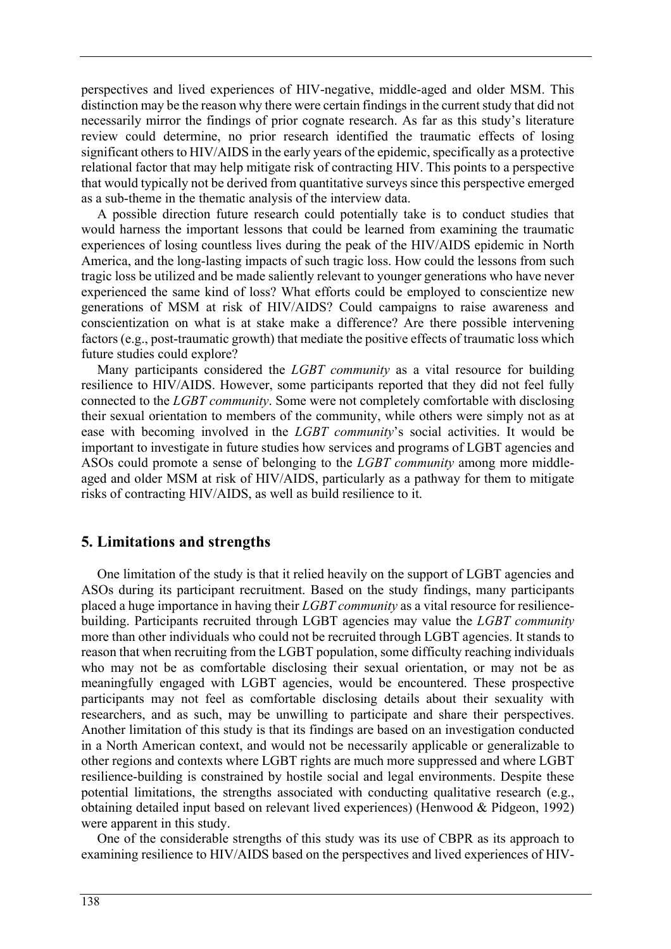perspectives and lived experiences of HIV-negative, middle-aged and older MSM. This distinction may be the reason why there were certain findings in the current study that did not necessarily mirror the findings of prior cognate research. As far as this study's literature review could determine, no prior research identified the traumatic effects of losing significant others to HIV/AIDS in the early years of the epidemic, specifically as a protective relational factor that may help mitigate risk of contracting HIV. This points to a perspective that would typically not be derived from quantitative surveys since this perspective emerged as a sub-theme in the thematic analysis of the interview data.

A possible direction future research could potentially take is to conduct studies that would harness the important lessons that could be learned from examining the traumatic experiences of losing countless lives during the peak of the HIV/AIDS epidemic in North America, and the long-lasting impacts of such tragic loss. How could the lessons from such tragic loss be utilized and be made saliently relevant to younger generations who have never experienced the same kind of loss? What efforts could be employed to conscientize new generations of MSM at risk of HIV/AIDS? Could campaigns to raise awareness and conscientization on what is at stake make a difference? Are there possible intervening factors (e.g., post-traumatic growth) that mediate the positive effects of traumatic loss which future studies could explore?

Many participants considered the *LGBT community* as a vital resource for building resilience to HIV/AIDS. However, some participants reported that they did not feel fully connected to the *LGBT community*. Some were not completely comfortable with disclosing their sexual orientation to members of the community, while others were simply not as at ease with becoming involved in the *LGBT community*'s social activities. It would be important to investigate in future studies how services and programs of LGBT agencies and ASOs could promote a sense of belonging to the *LGBT community* among more middleaged and older MSM at risk of HIV/AIDS, particularly as a pathway for them to mitigate risks of contracting HIV/AIDS, as well as build resilience to it.

## **5. Limitations and strengths**

One limitation of the study is that it relied heavily on the support of LGBT agencies and ASOs during its participant recruitment. Based on the study findings, many participants placed a huge importance in having their *LGBT community* as a vital resource for resiliencebuilding. Participants recruited through LGBT agencies may value the *LGBT community* more than other individuals who could not be recruited through LGBT agencies. It stands to reason that when recruiting from the LGBT population, some difficulty reaching individuals who may not be as comfortable disclosing their sexual orientation, or may not be as meaningfully engaged with LGBT agencies, would be encountered. These prospective participants may not feel as comfortable disclosing details about their sexuality with researchers, and as such, may be unwilling to participate and share their perspectives. Another limitation of this study is that its findings are based on an investigation conducted in a North American context, and would not be necessarily applicable or generalizable to other regions and contexts where LGBT rights are much more suppressed and where LGBT resilience-building is constrained by hostile social and legal environments. Despite these potential limitations, the strengths associated with conducting qualitative research (e.g., obtaining detailed input based on relevant lived experiences) (Henwood & Pidgeon, 1992) were apparent in this study.

One of the considerable strengths of this study was its use of CBPR as its approach to examining resilience to HIV/AIDS based on the perspectives and lived experiences of HIV-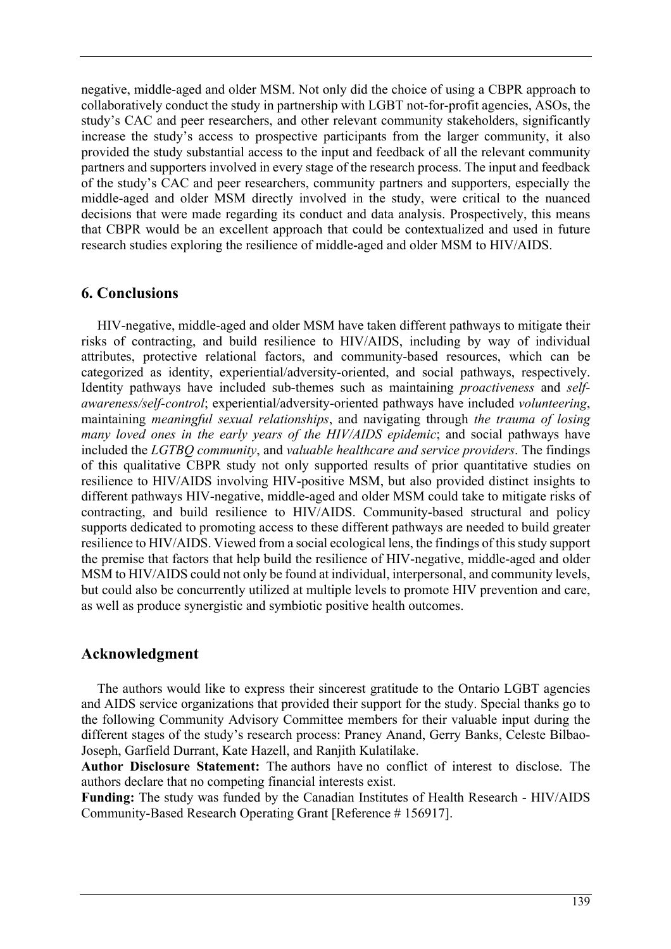negative, middle-aged and older MSM. Not only did the choice of using a CBPR approach to collaboratively conduct the study in partnership with LGBT not-for-profit agencies, ASOs, the study's CAC and peer researchers, and other relevant community stakeholders, significantly increase the study's access to prospective participants from the larger community, it also provided the study substantial access to the input and feedback of all the relevant community partners and supporters involved in every stage of the research process. The input and feedback of the study's CAC and peer researchers, community partners and supporters, especially the middle-aged and older MSM directly involved in the study, were critical to the nuanced decisions that were made regarding its conduct and data analysis. Prospectively, this means that CBPR would be an excellent approach that could be contextualized and used in future research studies exploring the resilience of middle-aged and older MSM to HIV/AIDS.

## **6. Conclusions**

HIV-negative, middle-aged and older MSM have taken different pathways to mitigate their risks of contracting, and build resilience to HIV/AIDS, including by way of individual attributes, protective relational factors, and community-based resources, which can be categorized as identity, experiential/adversity-oriented, and social pathways, respectively. Identity pathways have included sub-themes such as maintaining *proactiveness* and *selfawareness/self-control*; experiential/adversity-oriented pathways have included *volunteering*, maintaining *meaningful sexual relationships*, and navigating through *the trauma of losing many loved ones in the early years of the HIV/AIDS epidemic*; and social pathways have included the *LGTBQ community*, and *valuable healthcare and service providers*. The findings of this qualitative CBPR study not only supported results of prior quantitative studies on resilience to HIV/AIDS involving HIV-positive MSM, but also provided distinct insights to different pathways HIV-negative, middle-aged and older MSM could take to mitigate risks of contracting, and build resilience to HIV/AIDS. Community-based structural and policy supports dedicated to promoting access to these different pathways are needed to build greater resilience to HIV/AIDS. Viewed from a social ecological lens, the findings of this study support the premise that factors that help build the resilience of HIV-negative, middle-aged and older MSM to HIV/AIDS could not only be found at individual, interpersonal, and community levels, but could also be concurrently utilized at multiple levels to promote HIV prevention and care, as well as produce synergistic and symbiotic positive health outcomes.

## **Acknowledgment**

The authors would like to express their sincerest gratitude to the Ontario LGBT agencies and AIDS service organizations that provided their support for the study. Special thanks go to the following Community Advisory Committee members for their valuable input during the different stages of the study's research process: Praney Anand, Gerry Banks, Celeste Bilbao-Joseph, Garfield Durrant, Kate Hazell, and Ranjith Kulatilake.

**Author Disclosure Statement:** The authors have no conflict of interest to disclose. The authors declare that no competing financial interests exist.

**Funding:** The study was funded by the Canadian Institutes of Health Research - HIV/AIDS Community-Based Research Operating Grant [Reference # 156917].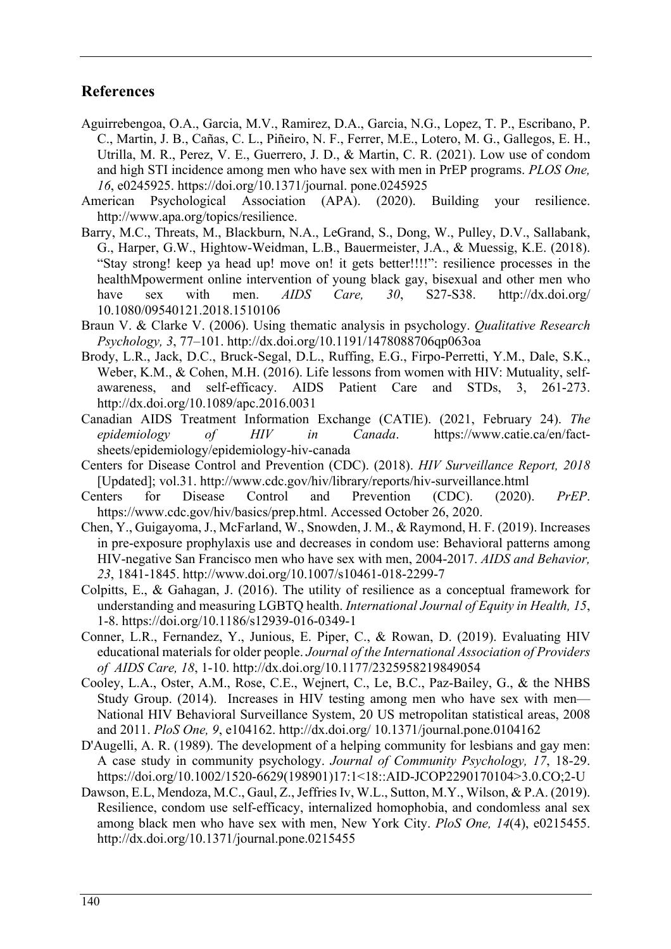# **References**

- Aguirrebengoa, O.A., Garcia, M.V., Ramirez, D.A., Garcia, N.G., Lopez, T. P., Escribano, P. C., Martin, J. B., Cañas, C. L., Piñeiro, N. F., Ferrer, M.E., Lotero, M. G., Gallegos, E. H., Utrilla, M. R., Perez, V. E., Guerrero, J. D., & Martin, C. R. (2021). Low use of condom and high STI incidence among men who have sex with men in PrEP programs. *PLOS One, 16*, e0245925. https://doi.org/10.1371/journal. pone.0245925
- American Psychological Association (APA). (2020). Building your resilience. http://www.apa.org/topics/resilience.
- Barry, M.C., Threats, M., Blackburn, N.A., LeGrand, S., Dong, W., Pulley, D.V., Sallabank, G., Harper, G.W., Hightow-Weidman, L.B., Bauermeister, J.A., & Muessig, K.E. (2018). "Stay strong! keep ya head up! move on! it gets better!!!!": resilience processes in the healthMpowerment online intervention of young black gay, bisexual and other men who have sex with men. *AIDS Care, 30*, S27-S38. http://dx.doi.org/ 10.1080/09540121.2018.1510106
- Braun V. & Clarke V. (2006). Using thematic analysis in psychology. *Qualitative Research Psychology, 3*, 77–101. http://dx.doi.org/10.1191/1478088706qp063oa
- Brody, L.R., Jack, D.C., Bruck-Segal, D.L., Ruffing, E.G., Firpo-Perretti, Y.M., Dale, S.K., Weber, K.M., & Cohen, M.H. (2016). Life lessons from women with HIV: Mutuality, selfawareness, and self-efficacy. AIDS Patient Care and STDs, 3, 261-273. http://dx.doi.org/10.1089/apc.2016.0031
- Canadian AIDS Treatment Information Exchange (CATIE). (2021, February 24). *The epidemiology of HIV in Canada*. https://www.catie.ca/en/factsheets/epidemiology/epidemiology-hiv-canada
- Centers for Disease Control and Prevention (CDC). (2018). *HIV Surveillance Report, 2018* [Updated]; vol.31. http://www.cdc.gov/hiv/library/reports/hiv-surveillance.html
- Centers for Disease Control and Prevention (CDC). (2020). *PrEP*. https://www.cdc.gov/hiv/basics/prep.html. Accessed October 26, 2020.
- Chen, Y., Guigayoma, J., McFarland, W., Snowden, J. M., & Raymond, H. F. (2019). Increases in pre-exposure prophylaxis use and decreases in condom use: Behavioral patterns among HIV-negative San Francisco men who have sex with men, 2004-2017. *AIDS and Behavior, 23*, 1841-1845. http://www.doi.org/10.1007/s10461-018-2299-7
- Colpitts, E., & Gahagan, J. (2016). The utility of resilience as a conceptual framework for understanding and measuring LGBTQ health. *International Journal of Equity in Health, 15*, 1-8. https://doi.org/10.1186/s12939-016-0349-1
- Conner, L.R., Fernandez, Y., Junious, E. Piper, C., & Rowan, D. (2019). Evaluating HIV educational materials for older people. *Journal of the International Association of Providers of AIDS Care, 18*, 1-10. http://dx.doi.org/10.1177/2325958219849054
- Cooley, L.A., Oster, A.M., Rose, C.E., Wejnert, C., Le, B.C., Paz-Bailey, G., & the NHBS Study Group. (2014). Increases in HIV testing among men who have sex with men— National HIV Behavioral Surveillance System, 20 US metropolitan statistical areas, 2008 and 2011. *PloS One, 9*, e104162. http://dx.doi.org/ 10.1371/journal.pone.0104162
- D'Augelli, A. R. (1989). The development of a helping community for lesbians and gay men: A case study in community psychology. *Journal of Community Psychology, 17*, 18-29. https://doi.org/10.1002/1520-6629(198901)17:1<18::AID-JCOP2290170104>3.0.CO;2-U
- Dawson, E.L, Mendoza, M.C., Gaul, Z., Jeffries Iv, W.L., Sutton, M.Y., Wilson, & P.A. (2019). Resilience, condom use self-efficacy, internalized homophobia, and condomless anal sex among black men who have sex with men, New York City. *PloS One, 14*(4), e0215455. http://dx.doi.org/10.1371/journal.pone.0215455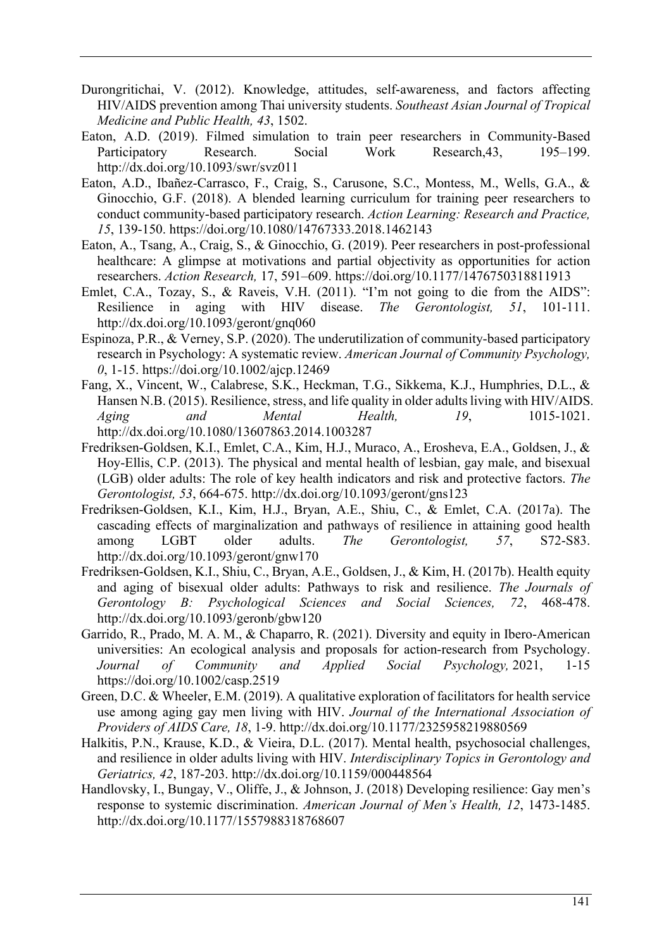- Durongritichai, V. (2012). Knowledge, attitudes, self-awareness, and factors affecting HIV/AIDS prevention among Thai university students. *Southeast Asian Journal of Tropical Medicine and Public Health, 43*, 1502.
- Eaton, A.D. (2019). Filmed simulation to train peer researchers in Community-Based Participatory Research. Social Work Research,43, 195–199. http://dx.doi.org/10.1093/swr/svz011
- Eaton, A.D., Ibañez-Carrasco, F., Craig, S., Carusone, S.C., Montess, M., Wells, G.A., & Ginocchio, G.F. (2018). A blended learning curriculum for training peer researchers to conduct community-based participatory research. *Action Learning: Research and Practice, 15*, 139-150. https://doi.org/10.1080/14767333.2018.1462143
- Eaton, A., Tsang, A., Craig, S., & Ginocchio, G. (2019). Peer researchers in post-professional healthcare: A glimpse at motivations and partial objectivity as opportunities for action researchers. *Action Research,* 17, 591–609. https://doi.org/10.1177/1476750318811913
- Emlet, C.A., Tozay, S., & Raveis, V.H. (2011). "I'm not going to die from the AIDS": Resilience in aging with HIV disease. *The Gerontologist, 51*, 101-111. http://dx.doi.org/10.1093/geront/gnq060
- Espinoza, P.R., & Verney, S.P. (2020). The underutilization of community-based participatory research in Psychology: A systematic review. *American Journal of Community Psychology, 0*, 1-15. https://doi.org/10.1002/ajcp.12469
- Fang, X., Vincent, W., Calabrese, S.K., Heckman, T.G., Sikkema, K.J., Humphries, D.L., & Hansen N.B. (2015). Resilience, stress, and life quality in older adults living with HIV/AIDS. *Aging and Mental Health, 19*, 1015-1021. http://dx.doi.org/10.1080/13607863.2014.1003287
- Fredriksen-Goldsen, K.I., Emlet, C.A., Kim, H.J., Muraco, A., Erosheva, E.A., Goldsen, J., & Hoy-Ellis, C.P. (2013). The physical and mental health of lesbian, gay male, and bisexual (LGB) older adults: The role of key health indicators and risk and protective factors. *The Gerontologist, 53*, 664-675. http://dx.doi.org/10.1093/geront/gns123
- Fredriksen-Goldsen, K.I., Kim, H.J., Bryan, A.E., Shiu, C., & Emlet, C.A. (2017a). The cascading effects of marginalization and pathways of resilience in attaining good health among LGBT older adults. *The Gerontologist, 57*, S72-S83. http://dx.doi.org/10.1093/geront/gnw170
- Fredriksen-Goldsen, K.I., Shiu, C., Bryan, A.E., Goldsen, J., & Kim, H. (2017b). Health equity and aging of bisexual older adults: Pathways to risk and resilience. *The Journals of Gerontology B: Psychological Sciences and Social Sciences, 72*, 468-478. http://dx.doi.org/10.1093/geronb/gbw120
- Garrido, R., Prado, M. A. M., & Chaparro, R. (2021). Diversity and equity in Ibero-American universities: An ecological analysis and proposals for action-research from Psychology. *Journal of Community and Applied Social Psychology,* 2021, 1-15 https://doi.org/10.1002/casp.2519
- Green, D.C. & Wheeler, E.M. (2019). A qualitative exploration of facilitators for health service use among aging gay men living with HIV. *Journal of the International Association of Providers of AIDS Care, 18*, 1-9. http://dx.doi.org/10.1177/2325958219880569
- Halkitis, P.N., Krause, K.D., & Vieira, D.L. (2017). Mental health, psychosocial challenges, and resilience in older adults living with HIV. *Interdisciplinary Topics in Gerontology and Geriatrics, 42*, 187-203. http://dx.doi.org/10.1159/000448564
- Handlovsky, I., Bungay, V., Oliffe, J., & Johnson, J. (2018) Developing resilience: Gay men's response to systemic discrimination. *American Journal of Men's Health, 12*, 1473-1485. http://dx.doi.org/10.1177/1557988318768607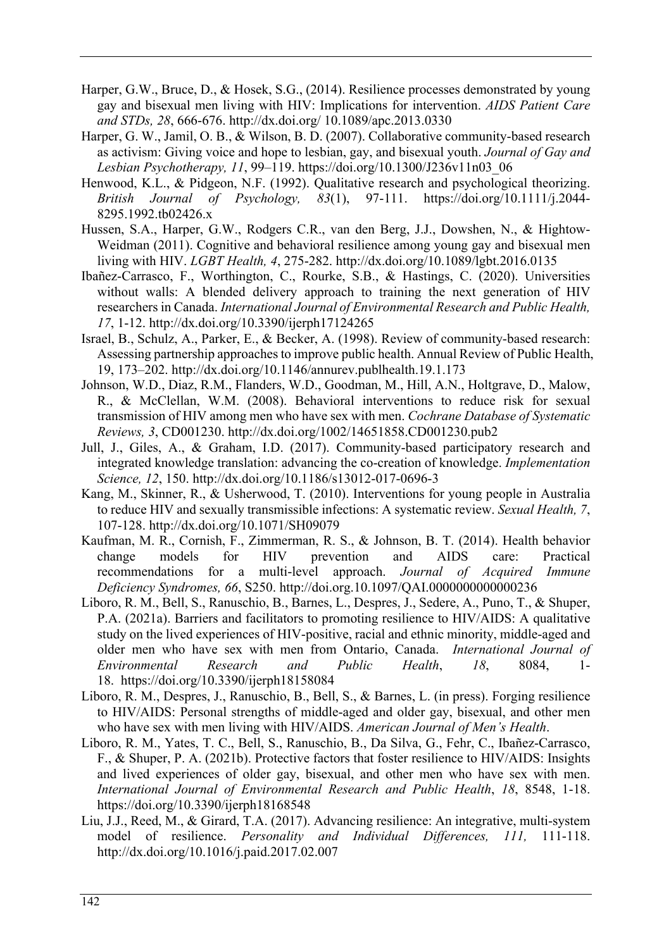- Harper, G.W., Bruce, D., & Hosek, S.G., (2014). Resilience processes demonstrated by young gay and bisexual men living with HIV: Implications for intervention. *AIDS Patient Care and STDs, 28*, 666-676. http://dx.doi.org/ 10.1089/apc.2013.0330
- Harper, G. W., Jamil, O. B., & Wilson, B. D. (2007). Collaborative community-based research as activism: Giving voice and hope to lesbian, gay, and bisexual youth. *Journal of Gay and Lesbian Psychotherapy, 11*, 99–119. https://doi.org/10.1300/J236v11n03\_06
- Henwood, K.L., & Pidgeon, N.F. (1992). Qualitative research and psychological theorizing. *British Journal of Psychology, 83*(1), 97-111. https://doi.org/10.1111/j.2044- 8295.1992.tb02426.x
- Hussen, S.A., Harper, G.W., Rodgers C.R., van den Berg, J.J., Dowshen, N., & Hightow-Weidman (2011). Cognitive and behavioral resilience among young gay and bisexual men living with HIV. *LGBT Health, 4*, 275-282. http://dx.doi.org/10.1089/lgbt.2016.0135
- Ibañez-Carrasco, F., Worthington, C., Rourke, S.B., & Hastings, C. (2020). Universities without walls: A blended delivery approach to training the next generation of HIV researchers in Canada. *International Journal of Environmental Research and Public Health, 17*, 1-12. http://dx.doi.org/10.3390/ijerph17124265
- Israel, B., Schulz, A., Parker, E., & Becker, A. (1998). Review of community-based research: Assessing partnership approaches to improve public health. Annual Review of Public Health, 19, 173–202. http://dx.doi.org/10.1146/annurev.publhealth.19.1.173
- Johnson, W.D., Diaz, R.M., Flanders, W.D., Goodman, M., Hill, A.N., Holtgrave, D., Malow, R., & McClellan, W.M. (2008). Behavioral interventions to reduce risk for sexual transmission of HIV among men who have sex with men. *Cochrane Database of Systematic Reviews, 3*, CD001230. http://dx.doi.org/1002/14651858.CD001230.pub2
- Jull, J., Giles, A., & Graham, I.D. (2017). Community-based participatory research and integrated knowledge translation: advancing the co-creation of knowledge. *Implementation Science, 12*, 150. http://dx.doi.org/10.1186/s13012-017-0696-3
- Kang, M., Skinner, R., & Usherwood, T. (2010). Interventions for young people in Australia to reduce HIV and sexually transmissible infections: A systematic review. *Sexual Health, 7*, 107-128. http://dx.doi.org/10.1071/SH09079
- Kaufman, M. R., Cornish, F., Zimmerman, R. S., & Johnson, B. T. (2014). Health behavior change models for HIV prevention and AIDS care: Practical recommendations for a multi-level approach. *Journal of Acquired Immune Deficiency Syndromes, 66*, S250. http://doi.org.10.1097/QAI.0000000000000236
- Liboro, R. M., Bell, S., Ranuschio, B., Barnes, L., Despres, J., Sedere, A., Puno, T., & Shuper, P.A. (2021a). Barriers and facilitators to promoting resilience to HIV/AIDS: A qualitative study on the lived experiences of HIV-positive, racial and ethnic minority, middle-aged and older men who have sex with men from Ontario, Canada. *International Journal of Environmental Research and Public Health*, *18*, 8084, 1- 18. https://doi.org/10.3390/ijerph18158084
- Liboro, R. M., Despres, J., Ranuschio, B., Bell, S., & Barnes, L. (in press). Forging resilience to HIV/AIDS: Personal strengths of middle-aged and older gay, bisexual, and other men who have sex with men living with HIV/AIDS. *American Journal of Men's Health*.
- Liboro, R. M., Yates, T. C., Bell, S., Ranuschio, B., Da Silva, G., Fehr, C., Ibañez-Carrasco, F., & Shuper, P. A. (2021b). Protective factors that foster resilience to HIV/AIDS: Insights and lived experiences of older gay, bisexual, and other men who have sex with men. *International Journal of Environmental Research and Public Health*, *18*, 8548, 1-18. https://doi.org/10.3390/ijerph18168548
- Liu, J.J., Reed, M., & Girard, T.A. (2017). Advancing resilience: An integrative, multi-system model of resilience. *Personality and Individual Differences, 111,* 111-118. http://dx.doi.org/10.1016/j.paid.2017.02.007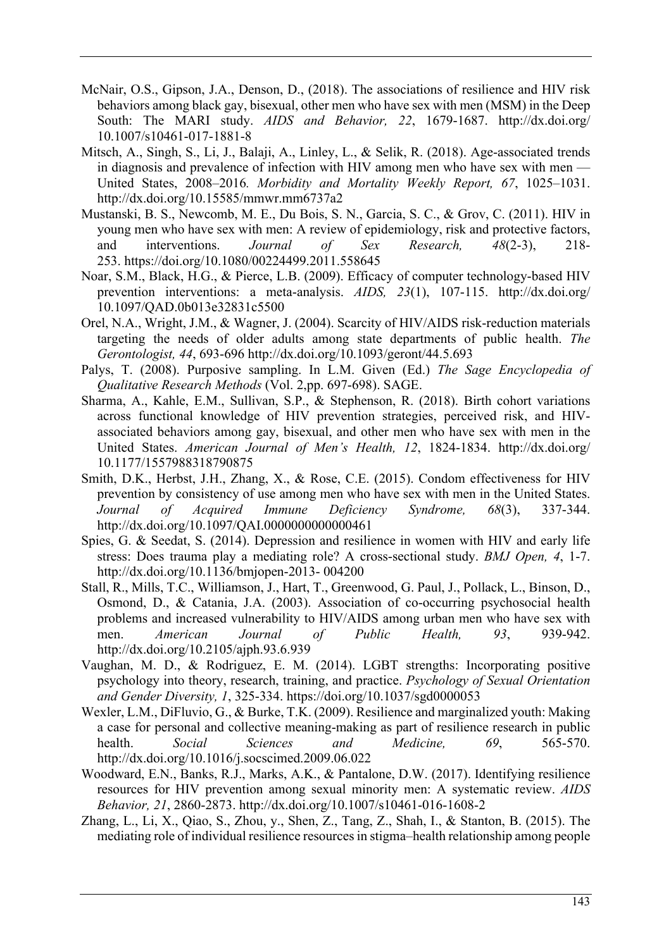- McNair, O.S., Gipson, J.A., Denson, D., (2018). The associations of resilience and HIV risk behaviors among black gay, bisexual, other men who have sex with men (MSM) in the Deep South: The MARI study. *AIDS and Behavior, 22*, 1679-1687. http://dx.doi.org/ 10.1007/s10461-017-1881-8
- Mitsch, A., Singh, S., Li, J., Balaji, A., Linley, L., & Selik, R. (2018). Age-associated trends in diagnosis and prevalence of infection with HIV among men who have sex with men — United States, 2008–2016*. Morbidity and Mortality Weekly Report, 67*, 1025–1031. http://dx.doi.org/10.15585/mmwr.mm6737a2
- Mustanski, B. S., Newcomb, M. E., Du Bois, S. N., Garcia, S. C., & Grov, C. (2011). HIV in young men who have sex with men: A review of epidemiology, risk and protective factors, and interventions. *Journal of Sex Research, 48*(2-3), 218- 253. https://doi.org/10.1080/00224499.2011.558645
- Noar, S.M., Black, H.G., & Pierce, L.B. (2009). Efficacy of computer technology-based HIV prevention interventions: a meta-analysis. *AIDS, 23*(1), 107-115. http://dx.doi.org/ 10.1097/QAD.0b013e32831c5500
- Orel, N.A., Wright, J.M., & Wagner, J. (2004). Scarcity of HIV/AIDS risk-reduction materials targeting the needs of older adults among state departments of public health. *The Gerontologist, 44*, 693-696 http://dx.doi.org/10.1093/geront/44.5.693
- Palys, T. (2008). Purposive sampling. In L.M. Given (Ed.) *The Sage Encyclopedia of Qualitative Research Methods* (Vol. 2,pp. 697-698). SAGE.
- Sharma, A., Kahle, E.M., Sullivan, S.P., & Stephenson, R. (2018). Birth cohort variations across functional knowledge of HIV prevention strategies, perceived risk, and HIVassociated behaviors among gay, bisexual, and other men who have sex with men in the United States. *American Journal of Men's Health, 12*, 1824-1834. http://dx.doi.org/ 10.1177/1557988318790875
- Smith, D.K., Herbst, J.H., Zhang, X., & Rose, C.E. (2015). Condom effectiveness for HIV prevention by consistency of use among men who have sex with men in the United States. *Journal of Acquired Immune Deficiency Syndrome, 68*(3), 337-344. http://dx.doi.org/10.1097/QAI.0000000000000461
- Spies, G. & Seedat, S. (2014). Depression and resilience in women with HIV and early life stress: Does trauma play a mediating role? A cross-sectional study. *BMJ Open, 4*, 1-7. http://dx.doi.org/10.1136/bmjopen-2013- 004200
- Stall, R., Mills, T.C., Williamson, J., Hart, T., Greenwood, G. Paul, J., Pollack, L., Binson, D., Osmond, D., & Catania, J.A. (2003). Association of co-occurring psychosocial health problems and increased vulnerability to HIV/AIDS among urban men who have sex with men. *American Journal of Public Health, 93*, 939-942. http://dx.doi.org/10.2105/ajph.93.6.939
- Vaughan, M. D., & Rodriguez, E. M. (2014). LGBT strengths: Incorporating positive psychology into theory, research, training, and practice. *Psychology of Sexual Orientation and Gender Diversity, 1*, 325-334. https://doi.org/10.1037/sgd0000053
- Wexler, L.M., DiFluvio, G., & Burke, T.K. (2009). Resilience and marginalized youth: Making a case for personal and collective meaning-making as part of resilience research in public health. *Social Sciences and Medicine, 69*, 565-570. http://dx.doi.org/10.1016/j.socscimed.2009.06.022
- Woodward, E.N., Banks, R.J., Marks, A.K., & Pantalone, D.W. (2017). Identifying resilience resources for HIV prevention among sexual minority men: A systematic review. *AIDS Behavior, 21*, 2860-2873. http://dx.doi.org/10.1007/s10461-016-1608-2
- Zhang, L., Li, X., Qiao, S., Zhou, y., Shen, Z., Tang, Z., Shah, I., & Stanton, B. (2015). The mediating role of individual resilience resources in stigma–health relationship among people